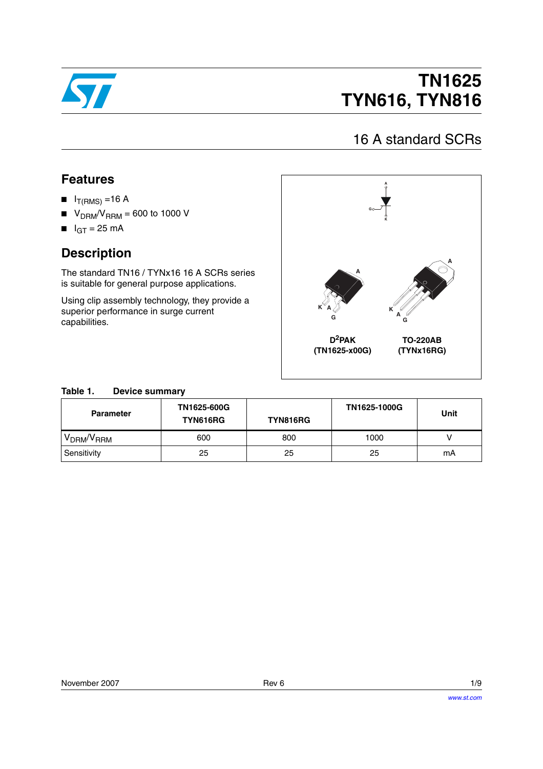

# **TN1625 TYN616, TYN816**

## 16 A standard SCRs

### **Features**

- $I_{T(RMS)} = 16 A$
- $\blacksquare$  V<sub>DRM</sub>/V<sub>RRM</sub> = 600 to 1000 V
- $I<sub>GT</sub> = 25 mA$

### **Description**

The standard TN16 / TYNx16 16 A SCRs series is suitable for general purpose applications.

Using clip assembly technology, they provide a superior performance in surge current capabilities.



### **Table 1. Device summary**

| <b>Parameter</b>                   | TN1625-600G<br>TYN616RG | <b>TYN816RG</b> | TN1625-1000G | <b>Unit</b> |
|------------------------------------|-------------------------|-----------------|--------------|-------------|
| V <sub>DRM</sub> /V <sub>RRM</sub> | 600                     | 800             | 1000         |             |
| Sensitivity                        | 25                      | 25              | 25           | mA          |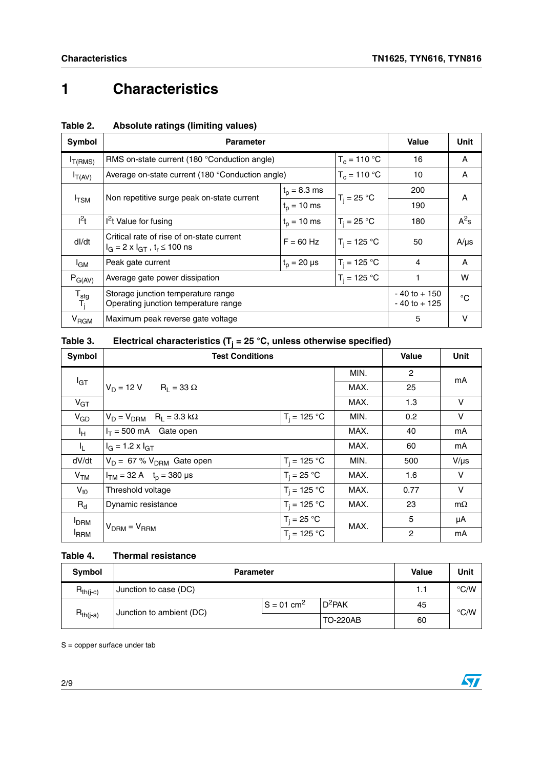$\sqrt{2}$ 

# **1 Characteristics**

| Symbol                                   | <b>Parameter</b>                                                                                       | Value          | Unit           |                                    |             |  |
|------------------------------------------|--------------------------------------------------------------------------------------------------------|----------------|----------------|------------------------------------|-------------|--|
| $I_{T(RMS)}$                             | RMS on-state current (180 °Conduction angle)                                                           | 16             | A              |                                    |             |  |
| $I_{T(AV)}$                              | Average on-state current (180 °Conduction angle)                                                       |                | $T_c = 110 °C$ | 10                                 | A           |  |
|                                          |                                                                                                        | $t_p = 8.3$ ms |                | 200                                | A           |  |
|                                          | Non repetitive surge peak on-state current<br>$I$ TSM<br>$t_{p} = 10$ ms                               |                | $T_i = 25 °C$  | 190                                |             |  |
| $l^2t$                                   | $I2t$ Value for fusing                                                                                 | $t_p = 10$ ms  | $T_i = 25 °C$  | 180                                | $A^2$ s     |  |
| dl/dt                                    | Critical rate of rise of on-state current<br>$F = 60$ Hz<br>$I_G = 2 \times I_{GT}$ , $t_r \le 100$ ns |                | $T_i = 125 °C$ | 50                                 | $A/\mu s$   |  |
| <sup>l</sup> GM                          | Peak gate current<br>$t_p = 20 \mu s$                                                                  |                | $T_i = 125 °C$ | 4                                  | A           |  |
| $P_{G(AV)}$                              | Average gate power dissipation                                                                         |                | W              |                                    |             |  |
| $\mathsf{T}_{\text{stg}}$<br>$T_{\rm i}$ | Storage junction temperature range<br>Operating junction temperature range                             |                |                | $-40$ to $+150$<br>$-40$ to $+125$ | $^{\circ}C$ |  |
| V <sub>RGM</sub>                         | Maximum peak reverse gate voltage                                                                      |                |                | 5                                  | v           |  |

### <span id="page-1-0"></span>**Table 2. Absolute ratings (limiting values)**

### **Table 3. Electrical characteristics (Tj = 25 °C, unless otherwise specified)**

| Symbol                  | <b>Test Conditions</b>                    |                | <b>Value</b> | <b>Unit</b>    |           |
|-------------------------|-------------------------------------------|----------------|--------------|----------------|-----------|
|                         |                                           |                | MIN.         | $\overline{2}$ | mA        |
| $I_{GT}$                | $V_D = 12 V$ R <sub>1</sub> = 33 $\Omega$ |                | MAX.         | 25             |           |
| $V_{GT}$                |                                           |                | MAX.         | 1.3            | $\vee$    |
| $V_{GD}$                | $R_1 = 3.3 k\Omega$<br>$V_D = V_{DRM}$    | $T_i = 125 °C$ | MIN.         | 0.2            | V         |
| ŀн.                     | $I_T = 500$ mA Gate open                  |                | MAX.         | 40             | mA        |
| կ_                      | $I_G = 1.2 \times I_{GT}$                 |                | MAX.         | 60             | mA        |
| dV/dt                   | $V_D = 67 \% V_{DRM}$ Gate open           | $T_i = 125 °C$ | MIN.         | 500            | $V/\mu s$ |
| V <sub>TM</sub>         | $I_{TM}$ = 32 A $t_0$ = 380 µs            | $T_i = 25 °C$  | MAX.         | 1.6            | $\vee$    |
| $V_{\text{t0}}$         | Threshold voltage                         | $T_i = 125 °C$ | MAX.         | 0.77           | V         |
| $R_{d}$                 | Dynamic resistance                        | $T_i = 125 °C$ | MAX.         | 23             | $m\Omega$ |
| <b>I</b> <sub>DRM</sub> |                                           | $T_i = 25 °C$  | MAX.         | 5              | μA        |
| <sup>I</sup> RRM        | $V_{DRM} = V_{RRM}$                       | $T_i = 125 °C$ |              | $\overline{c}$ | mA        |

#### **Table 4. Thermal resistance**

| Symbol                                    | <b>Parameter</b>      |                          |                 | Value | Unit          |
|-------------------------------------------|-----------------------|--------------------------|-----------------|-------|---------------|
| $R_{th(j-c)}$                             | Junction to case (DC) |                          |                 | 1.1   | $\degree$ C/W |
|                                           |                       | $S = 01$ cm <sup>2</sup> | $D^2$ PAK       | 45    | $\degree$ C/W |
| Junction to ambient (DC)<br>$R_{th(i-a)}$ |                       |                          | <b>TO-220AB</b> | 60    |               |

 $S =$  copper surface under tab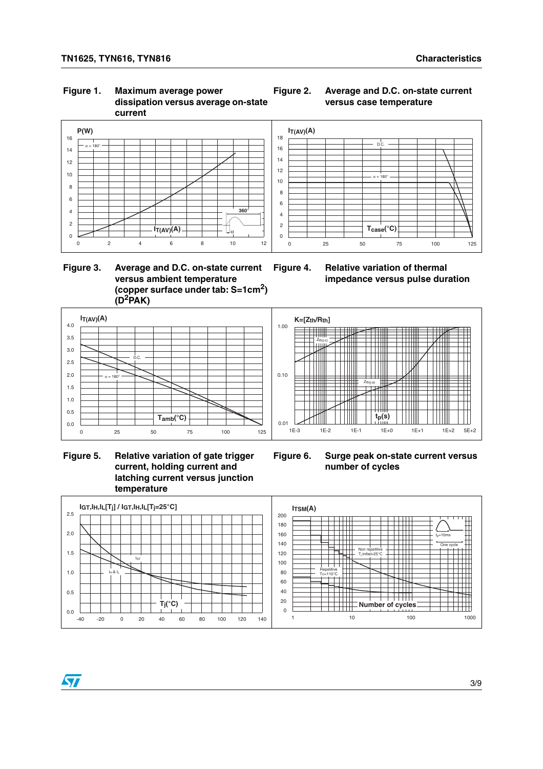#### **Figure 1. Maximum average power dissipation versus average on-state current**



#### **Figure 2. Average and D.C. on-state current versus case temperature**



#### **Figure 3. Average and D.C. on-state current versus ambient temperature (copper surface under tab: S=1cm2) (D2PAK)**





 **Figure 5. Relative variation of gate trigger current, holding current and latching current versus junction temperature**



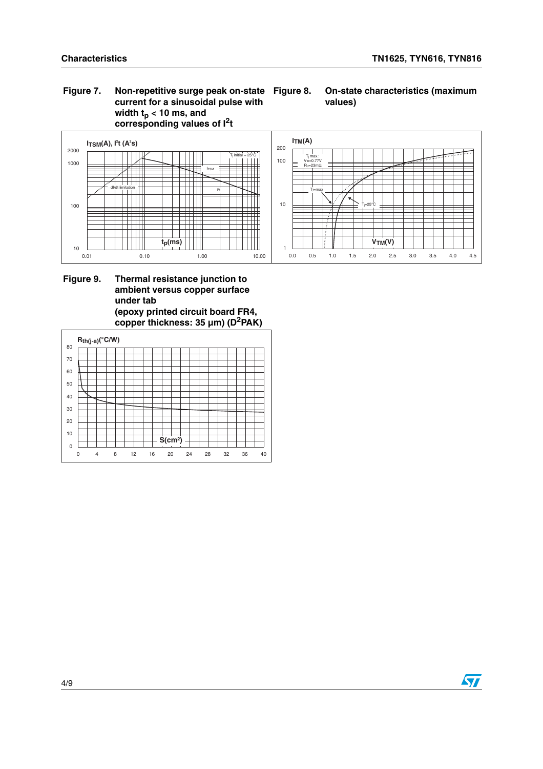#### **Figure 7. Non-repetitive surge peak on-state current for a sinusoidal pulse with**  width t<sub>p</sub> < 10 ms, and **corresponding values of I2t**

#### **Figure 8. On-state characteristics (maximum values)**



#### Figure 9. **Figure 9. Thermal resistance junction to ambient versus copper surface under tab (epoxy printed circuit board FR4, copper thickness: 35 µm) (D2PAK)**

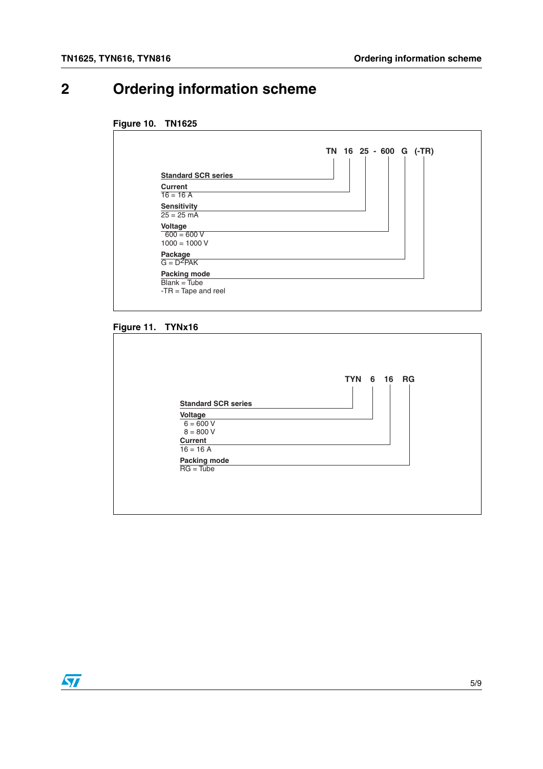## **2 Ordering information scheme**

#### **Figure 10. TN1625**

| <b>Standard SCR series</b> |  |
|----------------------------|--|
| <b>Current</b>             |  |
| $16 = 16 A$                |  |
| <b>Sensitivity</b>         |  |
| $25 = 25$ mA               |  |
| Voltage                    |  |
| $600 = 600 V$              |  |
| $1000 = 1000 V$            |  |
| Package                    |  |
| $G = D^2PAK$               |  |
| Packing mode               |  |

#### **Figure 11. TYNx16**



 $\sqrt{27}$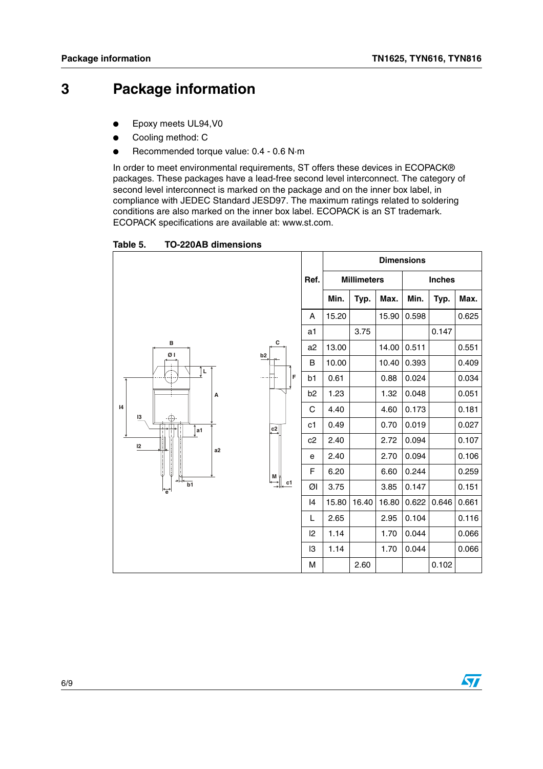## **3 Package information**

- Epoxy meets UL94, V0
- Cooling method: C
- Recommended torque value: 0.4 0.6 N·m

In order to meet environmental requirements, ST offers these devices in ECOPACK® packages. These packages have a lead-free second level interconnect. The category of second level interconnect is marked on the package and on the inner box label, in compliance with JEDEC Standard JESD97. The maximum ratings related to soldering conditions are also marked on the inner box label. ECOPACK is an ST trademark. ECOPACK specifications are available at: www.st.com.

Table 5. **TO-220AB dimensions** 

|                                             |                                                       |                |                |                    | <b>Dimensions</b> |       |               |       |
|---------------------------------------------|-------------------------------------------------------|----------------|----------------|--------------------|-------------------|-------|---------------|-------|
|                                             |                                                       | Ref.           |                | <b>Millimeters</b> |                   |       | <b>Inches</b> |       |
|                                             |                                                       |                | Min.           | Typ.               | Max.              | Min.  | Typ.          | Max.  |
|                                             |                                                       | Α              | 15.20          |                    | 15.90             | 0.598 |               | 0.625 |
|                                             |                                                       | a1             |                | 3.75               |                   |       | 0.147         |       |
| в<br>ØΙ                                     | С<br>b2                                               | a2             | 13.00          |                    | 14.00             | 0.511 |               | 0.551 |
| L<br>А                                      |                                                       | В              | 10.00          |                    | 10.40             | 0.393 |               | 0.409 |
|                                             | F                                                     | b <sub>1</sub> | 0.61           |                    | 0.88              | 0.024 |               | 0.034 |
|                                             |                                                       |                | b <sub>2</sub> | 1.23               |                   | 1.32  | 0.048         |       |
| $\mathsf{I}4$<br>13                         |                                                       | C              | 4.40           |                    | 4.60              | 0.173 |               | 0.181 |
| a1                                          | $\overset{\mathbf{c2}}{\rightarrow}$                  | c1             | 0.49           |                    | 0.70              | 0.019 |               | 0.027 |
| 12                                          |                                                       | c2             | 2.40           |                    | 2.72              | 0.094 |               | 0.107 |
| a2                                          |                                                       | е              | 2.40           |                    | 2.70              | 0.094 |               | 0.106 |
|                                             | $\begin{array}{c}\n\mathbf{M} \\ \hline\n\end{array}$ | F              | 6.20           |                    | 6.60              | 0.244 |               | 0.259 |
| $\overline{b1}$<br>$\overleftrightarrow{e}$ | c1                                                    | ØI             | 3.75           |                    | 3.85              | 0.147 |               | 0.151 |
|                                             |                                                       | 14             | 15.80          | 16.40              | 16.80             | 0.622 | 0.646         | 0.661 |
|                                             |                                                       | Г              | 2.65           |                    | 2.95              | 0.104 |               | 0.116 |
|                                             |                                                       | $ 2\rangle$    | 1.14           |                    | 1.70              | 0.044 |               | 0.066 |
|                                             |                                                       | I3             | 1.14           |                    | 1.70              | 0.044 |               | 0.066 |
|                                             |                                                       | M              |                | 2.60               |                   |       | 0.102         |       |

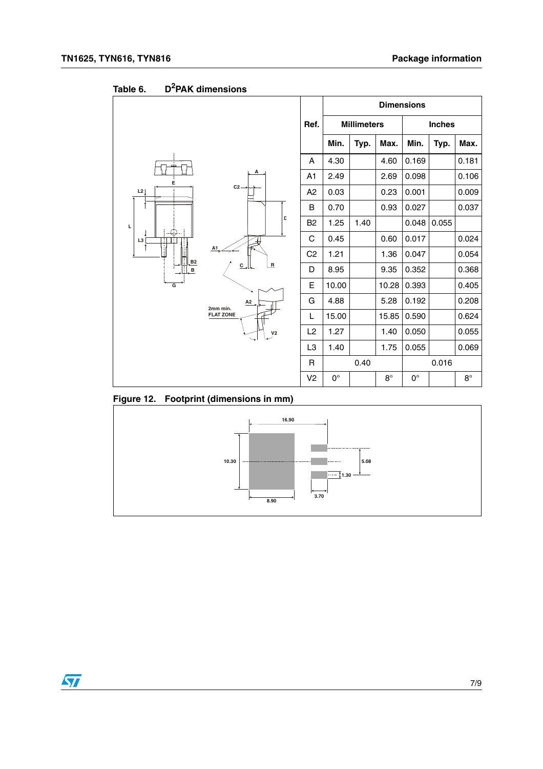|                          |                                     |                |             |                    |             | <b>Dimensions</b> |       |             |
|--------------------------|-------------------------------------|----------------|-------------|--------------------|-------------|-------------------|-------|-------------|
|                          |                                     | Ref.           |             | <b>Millimeters</b> |             | <b>Inches</b>     |       |             |
|                          |                                     |                | Min.        | Typ.               | Max.        | Min.              | Typ.  | Max.        |
|                          |                                     | A              | 4.30        |                    | 4.60        | 0.169             |       | 0.181       |
| E                        | А                                   | A <sub>1</sub> | 2.49        |                    | 2.69        | 0.098             |       | 0.106       |
| L2                       | $C2 -$                              | A <sub>2</sub> | 0.03        |                    | 0.23        | 0.001             |       | 0.009       |
|                          |                                     | B              | 0.70        |                    | 0.93        | 0.027             |       | 0.037       |
| L                        | D                                   | B <sub>2</sub> | 1.25        | 1.40               |             | 0.048             | 0.055 |             |
| Œ<br>L <sub>3</sub><br>Ħ |                                     | C              | 0.45        |                    | 0.60        | 0.017             |       | 0.024       |
| đ.<br>A1                 |                                     | C <sub>2</sub> | 1.21        |                    | 1.36        | 0.047             |       | 0.054       |
| B2<br>$\, {\bf B}$       | $\overline{R}$<br>$c_{\rightarrow}$ | D              | 8.95        |                    | 9.35        | 0.352             |       | 0.368       |
| G                        |                                     | Е              | 10.00       |                    | 10.28       | 0.393             |       | 0.405       |
|                          | A2<br>2mm min.                      | G              | 4.88        |                    | 5.28        | 0.192             |       | 0.208       |
|                          | <b>FLAT ZONE</b>                    | L              | 15.00       |                    | 15.85       | 0.590             |       | 0.624       |
|                          | V <sub>2</sub>                      | L <sub>2</sub> | 1.27        |                    | 1.40        | 0.050             |       | 0.055       |
|                          |                                     | L3             | 1.40        |                    | 1.75        | 0.055             |       | 0.069       |
|                          |                                     | R              |             | 0.40               |             |                   | 0.016 |             |
|                          |                                     | V <sub>2</sub> | $0^{\circ}$ |                    | $8^{\circ}$ | $0^{\circ}$       |       | $8^{\circ}$ |

Table 6. **Table 6. D2PAK dimensions**



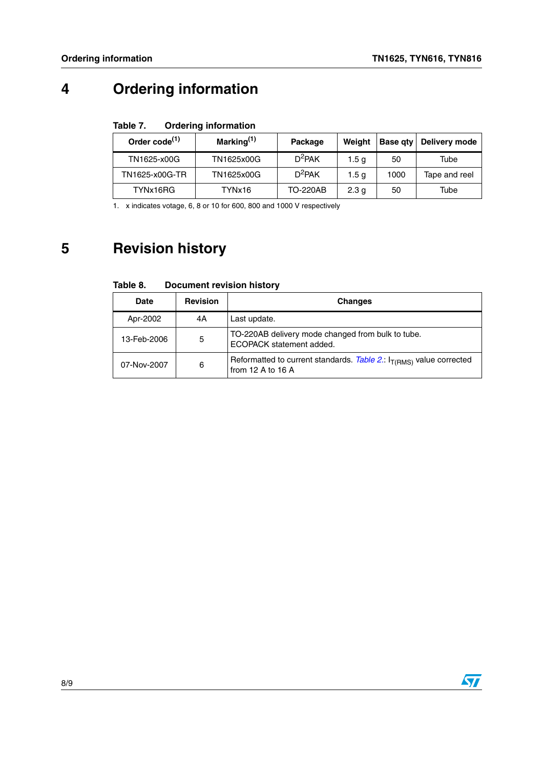## **4 Ordering information**

#### Table 7. **Ordering information**

| Order code <sup>(1)</sup> | Marking $(1)$ | Package         | Weiaht           |      | Base gty   Delivery mode |
|---------------------------|---------------|-----------------|------------------|------|--------------------------|
| TN1625-x00G               | TN1625x00G    | $D^2$ PAK       | 1.5 a            | 50   | Tube                     |
| TN1625-x00G-TR            | TN1625x00G    | $D^2$ PAK       | 1.5 <sub>q</sub> | 1000 | Tape and reel            |
| TYNx16RG                  | TYNx16        | <b>TO-220AB</b> | 2.3 <sub>q</sub> | 50   | Tube                     |

<span id="page-7-0"></span>1. x indicates votage, 6, 8 or 10 for 600, 800 and 1000 V respectively

## **5 Revision history**

| <b>Document revision history</b><br>Table 8. |  |
|----------------------------------------------|--|
|----------------------------------------------|--|

| Date        | <b>Revision</b> | <b>Changes</b>                                                                                |
|-------------|-----------------|-----------------------------------------------------------------------------------------------|
| Apr-2002    | 4A              | Last update.                                                                                  |
| 13-Feb-2006 | 5               | TO-220AB delivery mode changed from bulk to tube.<br>ECOPACK statement added.                 |
| 07-Nov-2007 | 6               | Reformatted to current standards. Table 2.: $I_{T(RMS)}$ value corrected<br>from 12 A to 16 A |

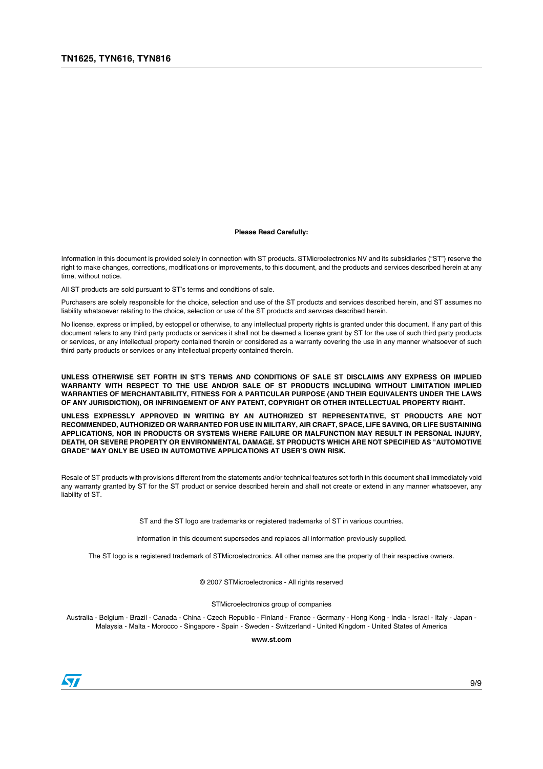#### **Please Read Carefully:**

Information in this document is provided solely in connection with ST products. STMicroelectronics NV and its subsidiaries ("ST") reserve the right to make changes, corrections, modifications or improvements, to this document, and the products and services described herein at any time, without notice.

All ST products are sold pursuant to ST's terms and conditions of sale.

Purchasers are solely responsible for the choice, selection and use of the ST products and services described herein, and ST assumes no liability whatsoever relating to the choice, selection or use of the ST products and services described herein.

No license, express or implied, by estoppel or otherwise, to any intellectual property rights is granted under this document. If any part of this document refers to any third party products or services it shall not be deemed a license grant by ST for the use of such third party products or services, or any intellectual property contained therein or considered as a warranty covering the use in any manner whatsoever of such third party products or services or any intellectual property contained therein.

**UNLESS OTHERWISE SET FORTH IN ST'S TERMS AND CONDITIONS OF SALE ST DISCLAIMS ANY EXPRESS OR IMPLIED WARRANTY WITH RESPECT TO THE USE AND/OR SALE OF ST PRODUCTS INCLUDING WITHOUT LIMITATION IMPLIED WARRANTIES OF MERCHANTABILITY, FITNESS FOR A PARTICULAR PURPOSE (AND THEIR EQUIVALENTS UNDER THE LAWS OF ANY JURISDICTION), OR INFRINGEMENT OF ANY PATENT, COPYRIGHT OR OTHER INTELLECTUAL PROPERTY RIGHT.**

**UNLESS EXPRESSLY APPROVED IN WRITING BY AN AUTHORIZED ST REPRESENTATIVE, ST PRODUCTS ARE NOT RECOMMENDED, AUTHORIZED OR WARRANTED FOR USE IN MILITARY, AIR CRAFT, SPACE, LIFE SAVING, OR LIFE SUSTAINING APPLICATIONS, NOR IN PRODUCTS OR SYSTEMS WHERE FAILURE OR MALFUNCTION MAY RESULT IN PERSONAL INJURY, DEATH, OR SEVERE PROPERTY OR ENVIRONMENTAL DAMAGE. ST PRODUCTS WHICH ARE NOT SPECIFIED AS "AUTOMOTIVE GRADE" MAY ONLY BE USED IN AUTOMOTIVE APPLICATIONS AT USER'S OWN RISK.**

Resale of ST products with provisions different from the statements and/or technical features set forth in this document shall immediately void any warranty granted by ST for the ST product or service described herein and shall not create or extend in any manner whatsoever, any liability of ST.

ST and the ST logo are trademarks or registered trademarks of ST in various countries.

Information in this document supersedes and replaces all information previously supplied.

The ST logo is a registered trademark of STMicroelectronics. All other names are the property of their respective owners.

© 2007 STMicroelectronics - All rights reserved

STMicroelectronics group of companies

Australia - Belgium - Brazil - Canada - China - Czech Republic - Finland - France - Germany - Hong Kong - India - Israel - Italy - Japan - Malaysia - Malta - Morocco - Singapore - Spain - Sweden - Switzerland - United Kingdom - United States of America

**www.st.com**